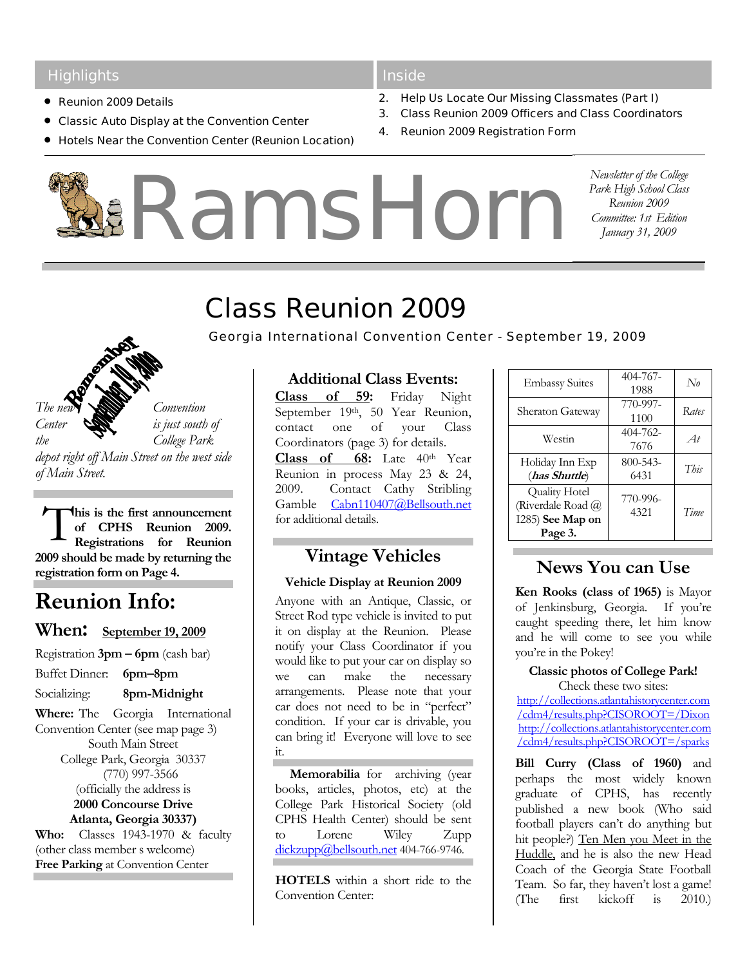### **Highlights**

- Reunion 2009 Details
- Classic Auto Display at the Convention Center
- Hotels Near the Convention Center (Reunion Location)

#### **Inside**

- 2. Help Us Locate Our Missing Classmates (Part I)
- 3. Class Reunion 2009 Officers and Class Coordinators
- 4. Reunion 2009 Registration Form

RamsHorn

*Newsletter of the College Park High School Class Reunion 2009 Committee: 1st Edition January 31, 2009* 

# Class Reunion 2009

*Georgia International Convention Center - September 19, 2009*

The new *Convention Center*  $\bigotimes$  *is just south of the College Park depot right off Main Street on the west side of Main Street.* 

**his is the first announcement of CPHS Reunion 2009. Registrations for Reunion 2009 should be made by returning the registration form on Page 4.**  T

# **Reunion Info:**

## **When: September 19, 2009**

- Registration **3pm 6pm** (cash bar)
- Buffet Dinner: **6pm–8pm**
- Socializing: **8pm-Midnight**

**Where:** The Georgia International Convention Center (see map page 3) South Main Street College Park, Georgia 30337 (770) 997-3566 (officially the address is **2000 Concourse Drive Atlanta, Georgia 30337) Who:** Classes 1943-1970 & faculty (other class member s welcome)

**Free Parking** at Convention Center

## **Additional Class Events:**

**Class of 59:** Friday Night September 19th, 50 Year Reunion, contact one of your Class Coordinators (page 3) for details. **Class of 68:** Late 40th Year Reunion in process May 23 & 24, 2009. Contact Cathy Stribling Gamble Cabn110407@Bellsouth.net for additional details.

# **Vintage Vehicles**

#### **Vehicle Display at Reunion 2009**

Anyone with an Antique, Classic, or Street Rod type vehicle is invited to put it on display at the Reunion. Please notify your Class Coordinator if you would like to put your car on display so we can make the necessary arrangements. Please note that your car does not need to be in "perfect" condition. If your car is drivable, you can bring it! Everyone will love to see it.

**Memorabilia** for archiving (year books, articles, photos, etc) at the College Park Historical Society (old CPHS Health Center) should be sent to Lorene Wiley Zupp dickzupp@bellsouth.net 404-766-9746.

**HOTELS** within a short ride to the Convention Center:

| <b>Embassy Suites</b>                                                    | $404 - 767 -$<br>1988 | $N_{\theta}$ |
|--------------------------------------------------------------------------|-----------------------|--------------|
| <b>Sheraton Gateway</b>                                                  | 770-997-<br>1100      | Rates        |
| Westin                                                                   | 404-762-<br>7676      | At           |
| Holiday Inn Exp<br>(has Shuttle)                                         | $800 - 543 -$<br>6431 | This         |
| <b>Quality Hotel</b><br>(Riverdale Road @<br>I285) See Map on<br>Page 3. | 770-996-<br>4321      | Time         |

# **News You can Use**

**Ken Rooks (class of 1965)** is Mayor of Jenkinsburg, Georgia. If you're caught speeding there, let him know and he will come to see you while you're in the Pokey!

#### **Classic photos of College Park!**

Check these two sites: http://collections.atlantahistorycenter.com /cdm4/results.php?CISOROOT=/Dixon http://collections.atlantahistorycenter.com /cdm4/results.php?CISOROOT=/sparks

**Bill Curry (Class of 1960)** and perhaps the most widely known graduate of CPHS, has recently published a new book (Who said football players can't do anything but hit people?) Ten Men you Meet in the Huddle, and he is also the new Head Coach of the Georgia State Football Team. So far, they haven't lost a game! (The first kickoff is 2010.)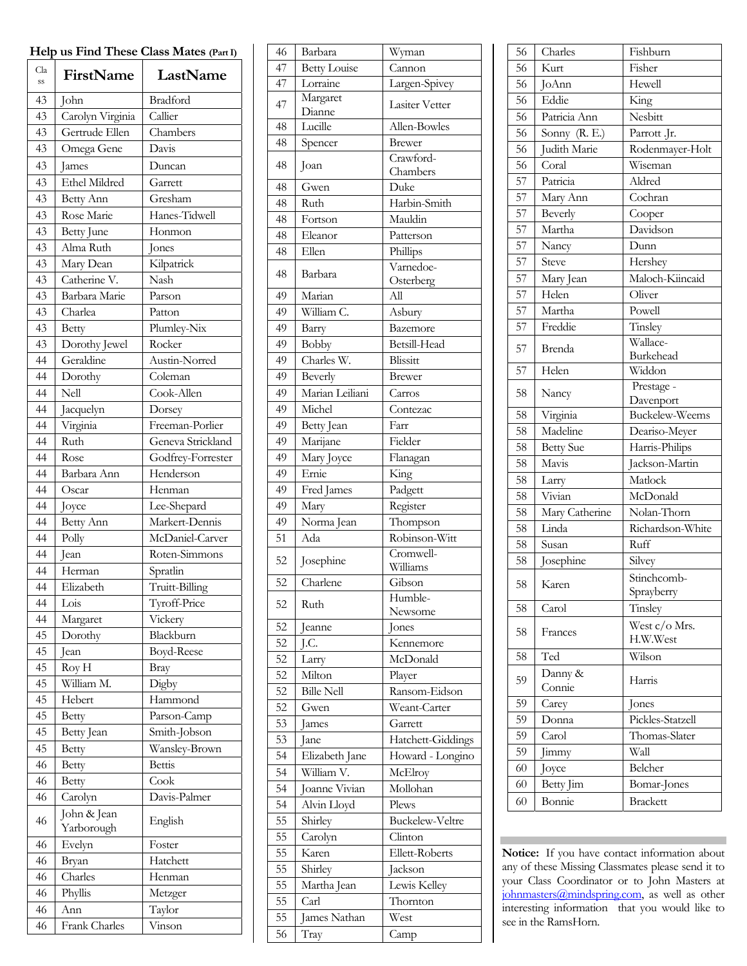| Help us Find These Class Mates (Part I) |                           |                                  |  |
|-----------------------------------------|---------------------------|----------------------------------|--|
| Cla<br>SS                               | FirstName                 | LastName                         |  |
| 43                                      | John                      | Bradford                         |  |
| 43                                      | Carolyn Virginia          | Callier                          |  |
| 43                                      | Gertrude Ellen            | Chambers                         |  |
| 43                                      | Omega Gene                | Davis                            |  |
| 43                                      | lames                     | Duncan                           |  |
| 43                                      | Ethel Mildred             | Garrett                          |  |
| 43                                      | Betty Ann                 | Gresham                          |  |
| 43                                      | Rose Marie                | Hanes-Tidwell                    |  |
| 43                                      | <b>Betty June</b>         | Honmon                           |  |
| 43                                      | Alma Ruth                 | Jones                            |  |
| 43                                      | Mary Dean                 | Kilpatrick                       |  |
| 43                                      | Catherine V.              | Nash                             |  |
| 43                                      | Barbara Marie             | Parson                           |  |
| 43                                      | Charlea                   | Patton                           |  |
| 43                                      | Betty                     | Plumley-Nix                      |  |
| 43                                      | Dorothy Jewel             | Rocker                           |  |
| 44                                      | Geraldine                 | Austin-Norred                    |  |
| 44                                      | Dorothy                   | Coleman                          |  |
| 44                                      | Nell                      | Cook-Allen                       |  |
| 44                                      | Jacquelyn                 | Dorsey                           |  |
| 44                                      | Virginia                  | Freeman-Porlier                  |  |
| 44                                      | Ruth                      | Geneva Strickland                |  |
| 44                                      | Rose                      | Godfrey-Forrester                |  |
| 44                                      | Barbara Ann               | Henderson                        |  |
| 44                                      | Oscar                     | Henman                           |  |
| 44                                      | Joyce                     | Lee-Shepard                      |  |
| 44                                      | Betty Ann                 | Markert-Dennis                   |  |
| 44                                      | Polly                     | McDaniel-Carver<br>Roten-Simmons |  |
| 44<br>44                                | Jean<br>Herman            | Spratlin                         |  |
| 44                                      | Elizabeth                 | Truitt-Billing                   |  |
| 44                                      | Lois                      | Tyroff-Price                     |  |
| 44                                      | Margaret                  | Vickery                          |  |
| 45                                      | Dorothy                   | Blackburn                        |  |
| 45                                      | Jean                      | Boyd-Reese                       |  |
| 45                                      | Roy H                     | Bray                             |  |
| 45                                      | William M.                | Digby                            |  |
| 45                                      | Hebert                    | Hammond                          |  |
| 45                                      | Betty                     | Parson-Camp                      |  |
| 45                                      | Betty Jean                | Smith-Jobson                     |  |
| 45                                      | Betty                     | Wansley-Brown                    |  |
| 46                                      | <b>Betty</b>              | <b>Bettis</b>                    |  |
| 46                                      | <b>Betty</b>              | Cook                             |  |
| 46                                      | Carolyn                   | Davis-Palmer                     |  |
| 46                                      | John & Jean<br>Yarborough | English                          |  |
| 46                                      | Evelyn                    | Foster                           |  |
| 46                                      | Bryan                     | Hatchett                         |  |
| 46                                      | Charles                   | Henman                           |  |
| 46                                      | Phyllis                   | Metzger                          |  |
| 46                                      | Ann                       | Taylor                           |  |
| 46                                      | Frank Charles             | Vinson                           |  |

| 46       | Barbara                | Wyman                     |  |
|----------|------------------------|---------------------------|--|
| 47       | <b>Betty Louise</b>    | Cannon                    |  |
| 47       | Lorraine               | Largen-Spivey             |  |
| 47       | Margaret               | <b>Lasiter Vetter</b>     |  |
|          | Dianne                 |                           |  |
| 48       | Lucille                | Allen-Bowles              |  |
| 48       | Spencer                | <b>Brewer</b>             |  |
| 48       | Joan                   | Crawford-                 |  |
|          | Gwen                   | Chambers<br>Duke          |  |
| 48<br>48 |                        |                           |  |
|          | Ruth                   | Harbin-Smith<br>Mauldin   |  |
| 48       | Fortson                |                           |  |
| 48       | Eleanor                | Patterson                 |  |
| 48       | Ellen                  | Phillips<br>Varnedoe-     |  |
| 48       | Barbara                | Osterberg                 |  |
| 49       | Marian                 | $A$ ll                    |  |
| 49       | William C.             | Asbury                    |  |
| 49       | Barry                  | Bazemore                  |  |
| 49       | Bobby                  | Betsill-Head              |  |
| 49       | Charles W.             | Blissitt                  |  |
| 49       | Beverly                | Brewer                    |  |
| 49       | Marian Leiliani        | Carros                    |  |
| 49       | Michel                 | Contezac                  |  |
| 49       |                        | Farr                      |  |
| 49       | Betty Jean<br>Marijane | Fielder                   |  |
|          |                        | Flanagan                  |  |
| 49       | Mary Joyce<br>Ernie    | King                      |  |
| 49       |                        | Padgett                   |  |
| 49       | Fred James             |                           |  |
| 49       | Mary                   | Register                  |  |
| 49<br>51 | Norma Jean<br>Ada      | Thompson<br>Robinson-Witt |  |
|          |                        | Cromwell-                 |  |
| 52       | Josephine              | Williams                  |  |
| 52       | Charlene               | Gibson                    |  |
|          |                        | Humble-                   |  |
| 52       | Ruth                   | Newsome                   |  |
| 52       | leanne                 | Jones                     |  |
| 52       | J.C.                   | Kennemore                 |  |
| 52       | Larry                  | McDonald                  |  |
| 52       | Milton                 | Player                    |  |
| 52       | <b>Bille Nell</b>      | Ransom-Eidson             |  |
| 52       | Gwen                   | Weant-Carter              |  |
| 53       | <b>James</b>           | Garrett                   |  |
| 53       | Jane                   | Hatchett-Giddings         |  |
| 54       | Elizabeth Jane         | Howard - Longino          |  |
| 54       | William V.             | McElroy                   |  |
| 54       | Joanne Vivian          | Mollohan                  |  |
| 54       | Alvin Lloyd            | Plews                     |  |
| 55       | Shirley                | Buckelew-Veltre           |  |
| 55       | Carolyn                | Clinton                   |  |
| 55       | Karen                  | Ellett-Roberts            |  |
| 55       | Shirley                | Jackson                   |  |
| 55       | Martha Jean            | Lewis Kelley              |  |
| 55       | Carl                   | Thornton                  |  |
| 55       | James Nathan           | West                      |  |
| 56       | Tray                   | Camp                      |  |
|          |                        |                           |  |

| 56              | Charles          | Fishburn                  |  |
|-----------------|------------------|---------------------------|--|
| 56              | Kurt             | Fisher                    |  |
| 56              | JoAnn            | Hewell                    |  |
| 56              | Eddie            | King                      |  |
| 56              | Patricia Ann     | Nesbitt                   |  |
| 56              | Sonny (R. E.)    | Parrott .Jr.              |  |
| 56              | Judith Marie     | Rodenmayer-Holt           |  |
| 56              | Coral            | Wiseman                   |  |
| 57              | Patricia         | Aldred                    |  |
| 57              | Mary Ann         | Cochran                   |  |
| 57              | Beverly          | Cooper                    |  |
| 57              | Martha           | Davidson                  |  |
| 57              | Nancy            | Dunn                      |  |
| 57              | <b>Steve</b>     | Hershey                   |  |
| 57              | Mary Jean        | Maloch-Kiincaid           |  |
| 57              | Helen            | Oliver                    |  |
| $\overline{57}$ | Martha           | Powell                    |  |
| 57              | Freddie          | Tinsley                   |  |
|                 |                  | Wallace-                  |  |
| 57<br>Brenda    |                  | Burkehead                 |  |
| $\overline{57}$ | Helen            | Widdon                    |  |
| 58              |                  | Prestage -                |  |
| Nancy           |                  | Davenport                 |  |
| 58              | Virginia         | Buckelew-Weems            |  |
| 58              | Madeline         | Deariso-Meyer             |  |
| 58              | <b>Betty Sue</b> | Harris-Philips            |  |
| 58              | Mavis            | Jackson-Martin            |  |
| 58              | Larry            | Matlock                   |  |
| 58              | Vivian           | McDonald                  |  |
| 58              | Mary Catherine   | Nolan-Thorn               |  |
| 58              | Linda            | Richardson-White          |  |
| 58              | Susan            | Ruff                      |  |
| 58              | Josephine        | Silvey                    |  |
| 58              | Karen            | Stinchcomb-               |  |
|                 |                  | Sprayberry                |  |
| 58              | Carol            | Tinsley                   |  |
| 58              | Frances          | West c/o Mrs.<br>H.W.West |  |
| 58              | Ted              | Wilson                    |  |
|                 | Danny &          | Harris                    |  |
| 59              | Connie           |                           |  |
| 59              | Carey            | Jones                     |  |
| 59              | Donna            | Pickles-Statzell          |  |
| 59              | Carol            | Thomas-Slater             |  |
| 59              | Jimmy            | Wall                      |  |
| 60              | Joyce            | Belcher                   |  |
| 60              | Betty Jim        | Bomar-Jones               |  |
| 60              | Bonnie           | <b>Brackett</b>           |  |

**Notice:** If you have contact information about any of these Missing Classmates please send it to your Class Coordinator or to John Masters at johnmasters@mindspring.com, as well as other interesting information that you would like to see in the RamsHorn.

 $\mathbb{R}^n$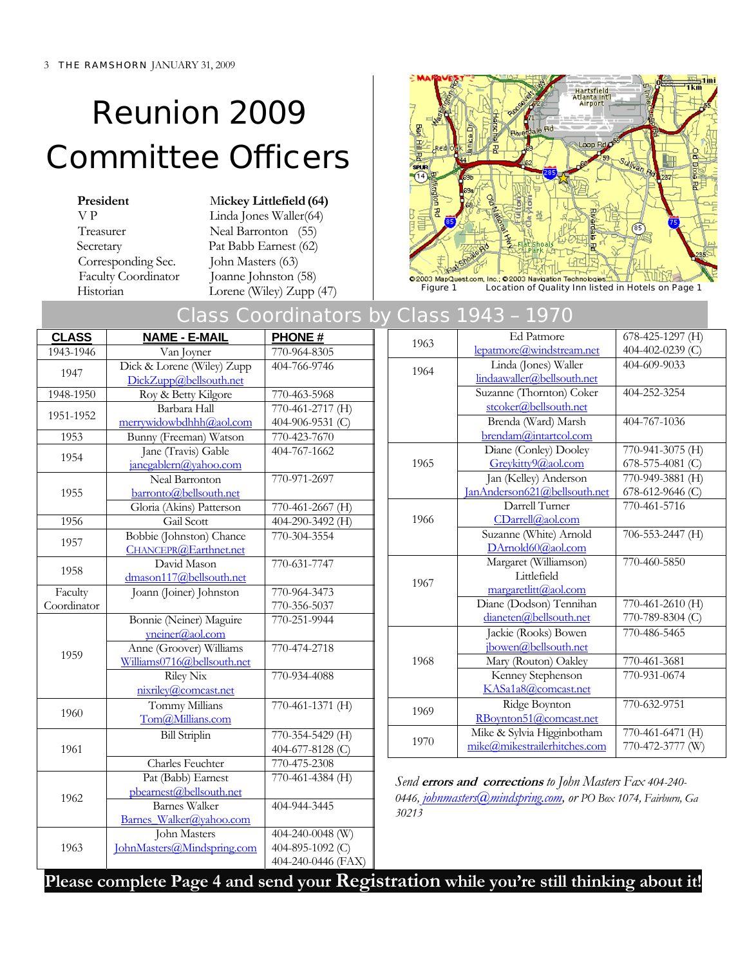# Reunion 2009 Committee Officers

Corresponding Sec. John Masters (63)

**President** Mickey Littlefield (64) V P Linda Jones Waller(64) Treasurer Neal Barronton (55) Secretary Pat Babb Earnest (62) Faculty Coordinator Joanne Johnston (58)



Historian Lorene (Wiley) Zupp (47) Figure 1 Location of Quality Inn listed in Hotels on Page 1

# Class Coordinators by Class 1943 – 1970

| Van Joyner<br>Dick & Lorene (Wiley) Zupp<br>DickZupp@bellsouth.net<br>Roy & Betty Kilgore<br>Barbara Hall<br>merrywidowbdhhh@aol.com<br>Bunny (Freeman) Watson<br>Jane (Travis) Gable<br>janegablern@yahoo.com<br>Neal Barronton<br>barronto@bellsouth.net<br>Gloria (Akins) Patterson<br>Gail Scott<br>Bobbie (Johnston) Chance<br>CHANCEPR@Earthnet.net | 770-964-8305<br>404-766-9746<br>770-463-5968<br>770-461-2717 (H)<br>404-906-9531 (C)<br>770-423-7670<br>404-767-1662<br>770-971-2697<br>770-461-2667 (H)<br>404-290-3492 (H)<br>770-304-3554<br>770-631-7747 | 1963<br>1964<br>1965<br>1966                           | lepatmore@windstream.net<br>Linda (Jones) Waller<br>lindaawaller@bellsouth.net<br>Suzanne (Thornton) Coker<br>stcoker@bellsouth.net<br>Brenda (Ward) Marsh<br>brendam@intartcol.com<br>Diane (Conley) Dooley<br>Greykitty9@aol.com<br>Jan (Kelley) Anderson<br>JanAnderson621@bellsouth.net<br>Darrell Turner | 404-402-0239 (C)<br>404-609-9033<br>404-252-3254<br>404-767-1036<br>770-941-3075 (H)<br>678-575-4081 (C)<br>770-949-3881 (H)<br>678-612-9646 (C)                                                   |
|-----------------------------------------------------------------------------------------------------------------------------------------------------------------------------------------------------------------------------------------------------------------------------------------------------------------------------------------------------------|--------------------------------------------------------------------------------------------------------------------------------------------------------------------------------------------------------------|--------------------------------------------------------|---------------------------------------------------------------------------------------------------------------------------------------------------------------------------------------------------------------------------------------------------------------------------------------------------------------|----------------------------------------------------------------------------------------------------------------------------------------------------------------------------------------------------|
|                                                                                                                                                                                                                                                                                                                                                           |                                                                                                                                                                                                              |                                                        |                                                                                                                                                                                                                                                                                                               |                                                                                                                                                                                                    |
|                                                                                                                                                                                                                                                                                                                                                           |                                                                                                                                                                                                              |                                                        |                                                                                                                                                                                                                                                                                                               |                                                                                                                                                                                                    |
|                                                                                                                                                                                                                                                                                                                                                           |                                                                                                                                                                                                              |                                                        |                                                                                                                                                                                                                                                                                                               |                                                                                                                                                                                                    |
|                                                                                                                                                                                                                                                                                                                                                           |                                                                                                                                                                                                              |                                                        |                                                                                                                                                                                                                                                                                                               |                                                                                                                                                                                                    |
|                                                                                                                                                                                                                                                                                                                                                           |                                                                                                                                                                                                              |                                                        |                                                                                                                                                                                                                                                                                                               |                                                                                                                                                                                                    |
|                                                                                                                                                                                                                                                                                                                                                           |                                                                                                                                                                                                              |                                                        |                                                                                                                                                                                                                                                                                                               |                                                                                                                                                                                                    |
|                                                                                                                                                                                                                                                                                                                                                           |                                                                                                                                                                                                              |                                                        |                                                                                                                                                                                                                                                                                                               |                                                                                                                                                                                                    |
|                                                                                                                                                                                                                                                                                                                                                           |                                                                                                                                                                                                              |                                                        |                                                                                                                                                                                                                                                                                                               |                                                                                                                                                                                                    |
|                                                                                                                                                                                                                                                                                                                                                           |                                                                                                                                                                                                              |                                                        |                                                                                                                                                                                                                                                                                                               |                                                                                                                                                                                                    |
|                                                                                                                                                                                                                                                                                                                                                           |                                                                                                                                                                                                              |                                                        |                                                                                                                                                                                                                                                                                                               |                                                                                                                                                                                                    |
|                                                                                                                                                                                                                                                                                                                                                           |                                                                                                                                                                                                              |                                                        |                                                                                                                                                                                                                                                                                                               |                                                                                                                                                                                                    |
|                                                                                                                                                                                                                                                                                                                                                           |                                                                                                                                                                                                              |                                                        |                                                                                                                                                                                                                                                                                                               | 770-461-5716                                                                                                                                                                                       |
|                                                                                                                                                                                                                                                                                                                                                           |                                                                                                                                                                                                              |                                                        | CDarrell@aol.com                                                                                                                                                                                                                                                                                              |                                                                                                                                                                                                    |
|                                                                                                                                                                                                                                                                                                                                                           |                                                                                                                                                                                                              |                                                        | Suzanne (White) Arnold                                                                                                                                                                                                                                                                                        | 706-553-2447 (H)                                                                                                                                                                                   |
|                                                                                                                                                                                                                                                                                                                                                           |                                                                                                                                                                                                              |                                                        | DArnold60@aol.com                                                                                                                                                                                                                                                                                             |                                                                                                                                                                                                    |
| David Mason                                                                                                                                                                                                                                                                                                                                               |                                                                                                                                                                                                              |                                                        | Margaret (Williamson)                                                                                                                                                                                                                                                                                         | 770-460-5850                                                                                                                                                                                       |
| dmason117@bellsouth.net                                                                                                                                                                                                                                                                                                                                   |                                                                                                                                                                                                              | 1967                                                   | Littlefield                                                                                                                                                                                                                                                                                                   |                                                                                                                                                                                                    |
| Joann (Joiner) Johnston                                                                                                                                                                                                                                                                                                                                   | 770-964-3473                                                                                                                                                                                                 |                                                        | margaretlitt@aol.com                                                                                                                                                                                                                                                                                          |                                                                                                                                                                                                    |
|                                                                                                                                                                                                                                                                                                                                                           | 770-356-5037                                                                                                                                                                                                 |                                                        | Diane (Dodson) Tennihan                                                                                                                                                                                                                                                                                       | 770-461-2610 (H)                                                                                                                                                                                   |
| Bonnie (Neiner) Maguire                                                                                                                                                                                                                                                                                                                                   | 770-251-9944                                                                                                                                                                                                 |                                                        | dianeten@bellsouth.net                                                                                                                                                                                                                                                                                        | 770-789-8304 (C)                                                                                                                                                                                   |
| $yneiner(a)$ <sub>ao</sub> l.com                                                                                                                                                                                                                                                                                                                          |                                                                                                                                                                                                              |                                                        | Jackie (Rooks) Bowen                                                                                                                                                                                                                                                                                          | 770-486-5465                                                                                                                                                                                       |
| Anne (Groover) Williams                                                                                                                                                                                                                                                                                                                                   | 770-474-2718                                                                                                                                                                                                 |                                                        | jbowen@bellsouth.net                                                                                                                                                                                                                                                                                          |                                                                                                                                                                                                    |
| Williams0716@bellsouth.net                                                                                                                                                                                                                                                                                                                                |                                                                                                                                                                                                              | 1968                                                   | Mary (Routon) Oakley                                                                                                                                                                                                                                                                                          | 770-461-3681                                                                                                                                                                                       |
| <b>Riley Nix</b>                                                                                                                                                                                                                                                                                                                                          | 770-934-4088                                                                                                                                                                                                 |                                                        | Kenney Stephenson                                                                                                                                                                                                                                                                                             | 770-931-0674                                                                                                                                                                                       |
| nixriley@comcast.net                                                                                                                                                                                                                                                                                                                                      |                                                                                                                                                                                                              |                                                        | KASa1a8@comcast.net                                                                                                                                                                                                                                                                                           |                                                                                                                                                                                                    |
| Tommy Millians                                                                                                                                                                                                                                                                                                                                            | 770-461-1371 (H)                                                                                                                                                                                             | 1969                                                   | Ridge Boynton                                                                                                                                                                                                                                                                                                 | 770-632-9751                                                                                                                                                                                       |
| Tom@Millians.com                                                                                                                                                                                                                                                                                                                                          |                                                                                                                                                                                                              |                                                        | RBoynton51@comcast.net                                                                                                                                                                                                                                                                                        |                                                                                                                                                                                                    |
| <b>Bill Striplin</b>                                                                                                                                                                                                                                                                                                                                      | 770-354-5429 (H)                                                                                                                                                                                             |                                                        | Mike & Sylvia Higginbotham                                                                                                                                                                                                                                                                                    | 770-461-6471 (H)                                                                                                                                                                                   |
|                                                                                                                                                                                                                                                                                                                                                           | 404-677-8128 (C)                                                                                                                                                                                             | 1970                                                   | mike@mikestrailerhitches.com                                                                                                                                                                                                                                                                                  | 770-472-3777 (W)                                                                                                                                                                                   |
| <b>Charles Feuchter</b>                                                                                                                                                                                                                                                                                                                                   | 770-475-2308                                                                                                                                                                                                 |                                                        |                                                                                                                                                                                                                                                                                                               |                                                                                                                                                                                                    |
|                                                                                                                                                                                                                                                                                                                                                           |                                                                                                                                                                                                              |                                                        |                                                                                                                                                                                                                                                                                                               |                                                                                                                                                                                                    |
|                                                                                                                                                                                                                                                                                                                                                           |                                                                                                                                                                                                              |                                                        |                                                                                                                                                                                                                                                                                                               |                                                                                                                                                                                                    |
|                                                                                                                                                                                                                                                                                                                                                           |                                                                                                                                                                                                              |                                                        |                                                                                                                                                                                                                                                                                                               |                                                                                                                                                                                                    |
| <b>Barnes Walker</b>                                                                                                                                                                                                                                                                                                                                      |                                                                                                                                                                                                              |                                                        |                                                                                                                                                                                                                                                                                                               |                                                                                                                                                                                                    |
|                                                                                                                                                                                                                                                                                                                                                           |                                                                                                                                                                                                              |                                                        |                                                                                                                                                                                                                                                                                                               |                                                                                                                                                                                                    |
| Barnes Walker@yahoo.com                                                                                                                                                                                                                                                                                                                                   |                                                                                                                                                                                                              |                                                        |                                                                                                                                                                                                                                                                                                               |                                                                                                                                                                                                    |
| John Masters                                                                                                                                                                                                                                                                                                                                              |                                                                                                                                                                                                              |                                                        |                                                                                                                                                                                                                                                                                                               |                                                                                                                                                                                                    |
|                                                                                                                                                                                                                                                                                                                                                           | Pat (Babb) Earnest<br>pbearnest@bellsouth.net                                                                                                                                                                | $770-461-4384$ (H)<br>404-944-3445<br>404-240-0048 (W) | 30213                                                                                                                                                                                                                                                                                                         | Send errors and corrections to John Masters Fax 404-240-<br>0446, johnmasters@mindspring.com, or PO Box 1074, Fairburn, Ga<br>JohnMasters@Mindspring.com<br>404-895-1092 (C)<br>404-240-0446 (FAX) |